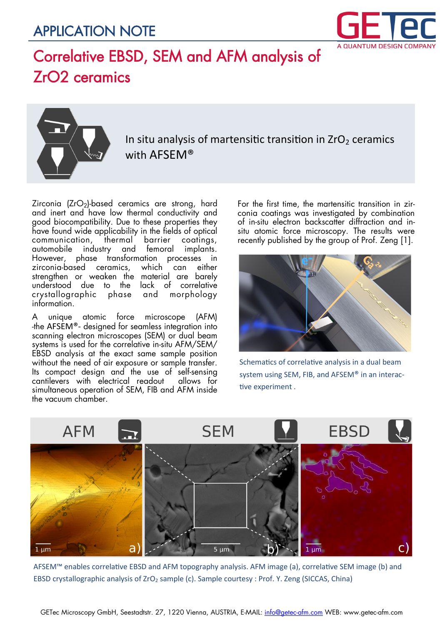### APPLICATION NOTE



# Correlative EBSD, SEM and AFM analysis of ZrO2 ceramics



In situ analysis of martensitic transition in  $ZrO<sub>2</sub>$  ceramics with AFSEM®

Zirconia  $(ZrO<sub>2</sub>)$ -based ceramics are strong, hard and inert and have low thermal conductivity and good biocompatibility. Due to these properties they have found wide applicability in the fields of optical communication, thermal barrier coatings, automobile industry and femoral implants. However, phase transformation processes in zirconia-based ceramics, which can either strengthen or weaken the material are barely understood due to the lack of correlative crystallographic phase and morphology information.

A unique atomic force microscope (AFM) -the AFSEM®- designed for seamless integration into scanning electron microscopes (SEM) or dual beam systems is used for the correlative in-situ AFM/SEM/ EBSD analysis at the exact same sample position without the need of air exposure or sample transfer. Its compact design and the use of self-sensing cantilevers with electrical readout allows for simultaneous operation of SEM, FIB and AFM inside the vacuum chamber.

For the first time, the martensitic transition in zirconia coatings was investigated by combination of in-situ electron backscatter diffraction and insitu atomic force microscopy. The results were recently published by the group of Prof. Zeng [1].



Schematics of correlative analysis in a dual beam system using SEM, FIB, and AFSEM® in an interactive experiment .



AFSEM™ enables correlative EBSD and AFM topography analysis. AFM image (a), correlative SEM image (b) and EBSD crystallographic analysis of ZrO<sub>2</sub> sample (c). Sample courtesy : Prof. Y. Zeng (SICCAS, China)